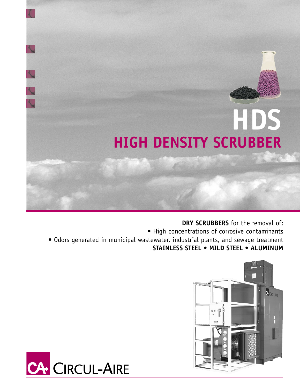# **HDS HIGH DENSITY SCRUBBER**

**DRY SCRUBBERS** for the removal of: • High concentrations of corrosive contaminants • Odors generated in municipal wastewater, industrial plants, and sewage treatment **STAINLESS STEEL • MILD STEEL • ALUMINUM**



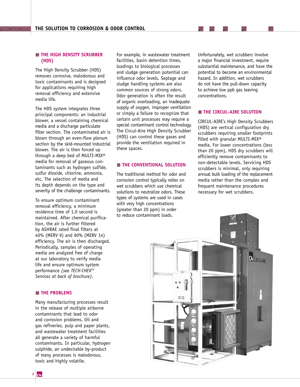# **THE HIGH DENSITY SCRUBBER (HDS)**

The High Density Scrubber (HDS) removes corrosive, malodorous and toxic contaminants and is designed for applications requiring high removal efficiency and extensive media life.

The HDS system integrates three principal components: an industrial blower, a vessel containing chemical media and a discharge particulate filter section. The contaminated air is blown through an even-flow plenum section by the skid-mounted industrial blower. The air is then forced up through a deep bed of MULTI-MIX® media for removal of gaseous contaminants such as hydrogen sulfide, sulfur dioxide, chlorine, ammonia, etc. The selection of media and its depth depends on the type and severity of the challenge contaminants.

To ensure optimum contaminant removal efficiency, a minimum residence time of 1.0 second is maintained. After chemical purification, the air is further filtered by ASHRAE rated final filters at 40% (MERV 9) and 90% (MERV 14) efficiency. The air is then discharged. Periodically, samples of operating media are analyzed free of charge at our laboratory to verify media life and ensure optimum system performance *(see TECH-CHEKTM Services at back of brochure)*.

# **THE PROBLEMS**

Many manufacturing processes result in the release of multiple airborne contaminants that lead to odor and corrosion problems. Oil and gas refineries, pulp and paper plants, and wastewater treatment facilities all generate a variety of harmful contaminants. In particular, hydrogen sulphide, an undesirable by-product of many processes is malodorous, toxic and highly volatile.

For example, in wastewater treatment facilities, basin detention times, loadings to biological processes and sludge generation potential can influence odor levels. Septage and sludge handling systems are also common sources of strong odors. Odor generation is often the result of organic overloading, an inadequate supply of oxygen, improper ventilation or simply a failure to recognize that certain unit processes may require a special contaminant control technology. The Circul-Aire High Density Scrubber (HDS) can control these gases and provide the ventilation required in these spaces.

# **THE CONVENTIONAL SOLUTION**

The traditional method for odor and corrosion control typically relies on wet scrubbers which use chemical solutions to neutralize odors. These types of systems are used in cases with very high concentrations (greater than 20 ppm) in order to reduce contaminant loads.

Unfortunately, wet scrubbers involve a major financial investment, require substantial maintenance, and have the potential to become an environmental hazard. In addition, wet scrubbers do not have the pull-down capacity to achieve low ppb gas leaving concentrations.

#### **THE CIRCUL-AIRE SOLUTION**

CIRCUL-AIRE's High Density Scrubbers (HDS) are vertical configuration dry scrubbers requiring smaller footprints filled with granular MULTI-MIX® media. For lower concentrations (less than 20 ppm), HDS dry scrubbers will efficiently remove contaminants to non-detectable levels. Servicing HDS scrubbers is minimal, only requiring annual bulk loading of the replacement media rather than the complex and frequent maintenance procedures necessary for wet scrubbers.

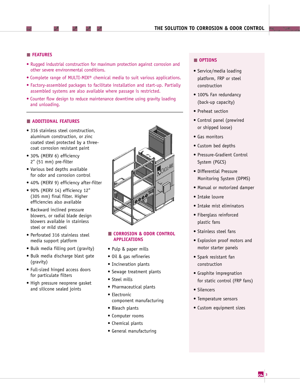# **FEATURES**

- Rugged industrial construction for maximum protection against corrosion and other severe environmental conditions.
- Complete range of MULTI-MIX® chemical media to suit various applications.
- Factory-assembled packages to facilitate installation and start-up. Partially assembled systems are also available where passage is restricted.
- Counter flow design to reduce maintenance downtime using gravity loading and unloading.

## **ADDITIONAL FEATURES**

- 316 stainless steel construction. aluminum construction, or zinc coated steel protected by a threecoat corrosion resistant paint
- 30% (MERV 6) efficiency 2" (51 mm) pre-filter
- Various bed depths available for odor and corrosion control
- 40% (MERV 9) efficiency after-filter
- 90% (MERV 14) efficiency 12" (305 mm) final filter. Higher efficiencies also available
- Backward inclined pressure blowers, or radial blade design blowers available in stainless steel or mild steel
- Perforated 316 stainless steel media support platform
- Bulk media filling port (gravity)
- Bulk media discharge blast gate (gravity)
- Full-sized hinged access doors for particulate filters
- High pressure neoprene gasket and silicone sealed joints



# **CORROSION & ODOR CONTROL APPLICATIONS**

- Pulp & paper mills
- Oil & gas refineries
- Incineration plants
- Sewage treatment plants
- Steel mills
- Pharmaceutical plants
- Electronic component manufacturing
- Bleach plants
- Computer rooms
- Chemical plants
- General manufacturing

# **OPTIONS**

- Service/media loading platform, FRP or steel construction
- 100% Fan redundancy (back-up capacity)
- Preheat section
- Control panel (prewired or shipped loose)
- Gas monitors
- Custom bed depths
- Pressure-Gradient Control System (PGCS)
- Differential Pressure Monitoring System (DPMS)
- Manual or motorized damper
- Intake louvre
- Intake mist eliminators
- Fiberglass reinforced plastic fans
- Stainless steel fans
- Explosion proof motors and motor starter panels
- Spark resistant fan construction
- Graphite impregnation for static control (FRP fans)
- Silencers
- Temperature sensors
- Custom equipment sizes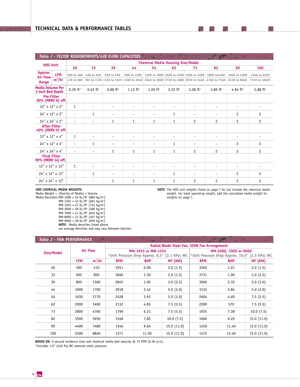|                            |                                             |                                          |                          | Table 1 - FILTER REQUIREMENTS/AIR FLOW CAPACITIES |                          |                          |                          | mar                                                                                                  |                          |                          |                          |
|----------------------------|---------------------------------------------|------------------------------------------|--------------------------|---------------------------------------------------|--------------------------|--------------------------|--------------------------|------------------------------------------------------------------------------------------------------|--------------------------|--------------------------|--------------------------|
| <b>HDS Unit</b>            |                                             | <b>Chemical Media Housing Size/Model</b> |                          |                                                   |                          |                          |                          |                                                                                                      |                          |                          |                          |
|                            |                                             | 26                                       | 33                       | 39                                                | 44                       | 54                       | 62                       | 73                                                                                                   | 82                       | 90                       | 100                      |
| Approx.<br><b>Air Flow</b> | <b>CFM</b>                                  | 280 to 400                               | 450 to 650               | 650 to 950                                        | 800 to 1200              |                          |                          | 1200 to 1800 1600 to 2400 2300 to 3200                                                               | 2800 to 4200             | 3600 to 5200             | 4300 to 6250             |
| Range                      | $m^3/hr$                                    |                                          |                          |                                                   |                          |                          |                          | 476 to 680 765 to 1105 1105 to 1615 1360 to 2040 2040 to 3060 2720 to 4080 3910 to 5440 4760 to 7140 |                          | 6120 to 8840             | 7310 to 10625            |
|                            | <b>Media Volume Per</b><br>1-inch Bed Depth | $0.39$ ft <sup>3</sup>                   | $0.63$ ft <sup>3</sup>   | $0.88$ ft <sup>3</sup>                            | 1.12 $ft^3$              | 1.69 $ft^3$              | 2.22 $ft^3$              | $3.08$ ft <sup>3</sup>                                                                               | 3.89 $ft^3$              | 4.94 $ft^3$              | $5.88$ ft <sup>3</sup>   |
|                            | <b>Pre-Filter</b><br>30% (MERV 6) eff.      |                                          |                          |                                                   |                          |                          |                          |                                                                                                      |                          |                          |                          |
|                            | 12" x 12" x 2"                              | 1                                        | $\overline{\phantom{a}}$ | $\overline{\phantom{a}}$                          | $\overline{\phantom{a}}$ | $\overline{\phantom{a}}$ | $\overline{\phantom{a}}$ | $\overline{\phantom{a}}$                                                                             | $\overline{\phantom{a}}$ | $\overline{\phantom{a}}$ | $\overline{\phantom{a}}$ |
|                            | 24" x 12" x 2"                              | $\overline{\phantom{a}}$                 | $\mathbf{1}$             | $\overline{\phantom{a}}$                          | $\overline{\phantom{a}}$ | $\overline{\phantom{a}}$ | 1                        | $\overline{\phantom{a}}$                                                                             | $\overline{\phantom{a}}$ | 2                        | 2                        |
|                            | 24" x 24" x 2"                              | $\overline{\phantom{a}}$                 | $\overline{\phantom{a}}$ | $\mathbf{1}$                                      | $\mathbf{1}$             | $\mathbf{1}$             | $\mathbf{1}$             | $\overline{c}$                                                                                       | $\overline{c}$           | $\overline{c}$           | $\overline{c}$           |
|                            | After-Filter<br>40% (MERV 9) eff.           |                                          |                          |                                                   |                          |                          |                          |                                                                                                      |                          |                          |                          |
|                            | 12" x 12" x 4"                              | 1                                        | $\overline{\phantom{a}}$ | $\overline{\phantom{a}}$                          |                          | $\overline{\phantom{a}}$ |                          | $\overline{\phantom{0}}$                                                                             | $\overline{\phantom{0}}$ | $\overline{\phantom{a}}$ |                          |
|                            | 24" x 12" x 4"                              | $\overline{\phantom{a}}$                 | $\mathbf{1}$             | $\overline{\phantom{a}}$                          |                          | $\overline{\phantom{a}}$ | 1                        | $\overline{\phantom{a}}$                                                                             | $\overline{\phantom{a}}$ | $\overline{c}$           | $\overline{c}$           |
|                            | 24" x 24" x 4"                              | $\overline{\phantom{a}}$                 | $\overline{\phantom{a}}$ | $\mathbf{1}$                                      | $\mathbf{1}$             | $\mathbf{1}$             | $\mathbf{1}$             | $\overline{c}$                                                                                       | $\overline{c}$           | $\overline{c}$           | $\overline{c}$           |
|                            | <b>Final Filter</b><br>90% (MERV 14) eff.   |                                          |                          |                                                   |                          |                          |                          |                                                                                                      |                          |                          |                          |
|                            | 12" x 12" x 12"                             | 1                                        | $\overline{\phantom{a}}$ | $\overline{\phantom{a}}$                          | $\overline{\phantom{a}}$ | $\overline{\phantom{a}}$ | $\overline{\phantom{a}}$ | $\overline{\phantom{a}}$                                                                             | $\overline{\phantom{a}}$ | $\overline{\phantom{a}}$ |                          |
|                            | 24" x 12" x 12"                             | $\overline{\phantom{a}}$                 | $\mathbf{1}$             | $\overline{\phantom{a}}$                          | $\overline{\phantom{a}}$ | $\overline{\phantom{a}}$ | 1                        | $\overline{a}$                                                                                       | $\overline{a}$           | $\overline{c}$           | $\overline{c}$           |
|                            | 24" x 24" x 12"                             | $\overline{\phantom{a}}$                 | $\overline{\phantom{a}}$ | $\mathbf{1}$                                      | $\mathbf{1}$             | $\mathbf{1}$             | 1                        | $\overline{c}$                                                                                       | $\overline{c}$           | $\overline{c}$           | $\overline{c}$           |

#### **HDS CHEMICAL MEDIA WEIGHTS**:

Media Weight = (Density of Media)  $\times$  Volume

Media Densities: MM-1000 = 55 lb./ft<sup>3</sup> (880 kg/m<sup>3</sup>)  $MM-1355 = 43 lb./ft<sup>3</sup> (681 kg/m<sup>3</sup>)$  $MM-1955 = 47 lb./ft<sup>3</sup> (745 kg/m<sup>3</sup>)$ 

> MM-3000 = 30 lb./ft<sup>3</sup> (480 kg/m<sup>3</sup>)  $MM-7000 = 41 lb./ft<sup>3</sup> (656 kg/m<sup>3</sup>)$  $MM-8000 = 31 lb./ft<sup>3</sup> (497 kg/m<sup>3</sup>)$  $MM-9000 = 38 lb./ft<sup>3</sup> (609 kg/m<sup>3</sup>)$ **NOTE**: Media densities listed above

are average densities and may vary between batches.

**NOTE**: The HDS unit weights listed on page 7 do not include the chemical media weight. For total operating weight, add the calculated media weight to weights on page 7.

 $\rightarrow$ 

| Table 2 - FAN PERFORMANCE |                 |          |                                               |                    |            |                                                |            |            |  |
|---------------------------|-----------------|----------|-----------------------------------------------|--------------------|------------|------------------------------------------------|------------|------------|--|
|                           | <b>Air Flow</b> |          | Radial Blade Steel Fan, SISW Fan Arrangement  |                    |            |                                                |            |            |  |
| Size/Model                |                 |          |                                               | MM-1955 or MM-1355 |            | MM-3000, 7000 or 9000                          |            |            |  |
|                           |                 |          | *Unit Pressure Drop Approx, 8.5" (2.1 KPa) WC |                    |            | *Unit Pressure Drop Approx. 10.0" (2.5 KPa) WC |            |            |  |
|                           | <b>CFM</b>      | $m^3/hr$ | <b>RPM</b>                                    | <b>BHP</b>         | $HP$ (KW)  | <b>RPM</b>                                     | <b>BHP</b> | $HP$ (KW)  |  |
| 26                        | 300             | 510      | 3551                                          | 0.90               | 2.0(1.5)   | 3260                                           | 1.01       | 2.0(1.5)   |  |
| 33                        | 500             | 850      | 3666                                          | 1.30               | 2.0(1.5)   | 3731                                           | 1.90       | 3.0(2.2)   |  |
| 39                        | 800             | 1360     | 2845                                          | 1.95               | 3.0(2.2)   | 3066                                           | 2.32       | 5.0(3.0)   |  |
| 44                        | 1000            | 1700     | 2918                                          | 2.42               | 5.0(3.0)   | 3132                                           | 2.84       | 5.0(3.0)   |  |
| 54                        | 1630            | 2770     | 2428                                          | 3.93               | 5.0(3.0)   | 2604                                           | 4.60       | 7.5(5.5)   |  |
| 62                        | 2000            | 3400     | 2132                                          | 4.85               | 7.5(5.5)   | 2289                                           | 570        | 7.5(5.5)   |  |
| 73                        | 2800            | 4760     | 1799                                          | 6.31               | 7.5(5.5)   | 1935                                           | 7.38       | 10.0(7.5)  |  |
| 82                        | 3500            | 5950     | 1548                                          | 7.85               | 10.0(7.5)  | 1666                                           | 9.20       | 15.0(11.0) |  |
| 90                        | 4400            | 7480     | 1346                                          | 9.64               | 15.0(11.0) | 1450                                           | 11.40      | 15.0(11.0) |  |
| 100                       | 5200            | 8840     | 1371                                          | 11.50              | 15.0(11.0) | 1472                                           | 13.40      | 15.0(11.0) |  |

**BASED ON:** 2-second residence time and chemical media bed velocity @ 75 FPM (0.38 m/s).

\*Includes 1.0" (249 Pa) WC external static pressure.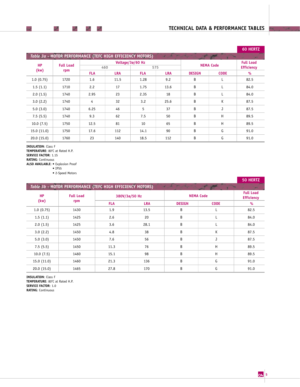|            |                                                            |            |            |                         |                  |               |                                       | <b>60 HERTZ</b> |
|------------|------------------------------------------------------------|------------|------------|-------------------------|------------------|---------------|---------------------------------------|-----------------|
|            | Table 3a - MOTOR PERFORMANCE (TEFC HIGH EFFICIENCY MOTORS) |            |            |                         |                  |               |                                       |                 |
| <b>HP</b>  | <b>Full Load</b><br>rpm                                    |            | 460        | Voltage/3ø/60 Hz<br>575 | <b>NEMA Code</b> |               | <b>Full Load</b><br><b>Efficiency</b> |                 |
| (kw)       |                                                            | <b>FLA</b> | <b>LRA</b> | <b>FLA</b>              | <b>LRA</b>       | <b>DESIGN</b> | <b>CODE</b>                           | $\%$            |
| 1.0(0.75)  | 1720                                                       | 1.6        | 11.5       | 1.28                    | 9.2              | B             | L                                     | 82.5            |
| 1.5(1.1)   | 1710                                                       | 2.2        | 17         | 1.75                    | 13.6             | B             | L                                     | 84.0            |
| 2.0(1.5)   | 1740                                                       | 2.95       | 23         | 2.35                    | 18               | B             | L                                     | 84.0            |
| 3.0(2.2)   | 1740                                                       | 4          | 32         | 3.2                     | 25.6             | B             | K                                     | 87.5            |
| 5.0(3.0)   | 1740                                                       | 6.25       | 46         | 5                       | 37               | B             | J                                     | 87.5            |
| 7.5(5.5)   | 1740                                                       | 9.3        | 62         | 7.5                     | 50               | B             | H                                     | 89.5            |
| 10.0(7.5)  | 1750                                                       | 12.5       | 81         | 10                      | 65               | B             | H                                     | 89.5            |
| 15.0(11.0) | 1750                                                       | 17.6       | 112        | 14.1                    | 90               | B             | G                                     | 91.0            |
| 20.0(15.0) | 1760                                                       | 23         | 140        | 18.5                    | 112              | B             | G                                     | 91.0            |

**INSULATION**: Class F

 $\overline{\phantom{a}}$ 

 $\rightarrow$ 

৴

II

**TEMPERATURE:** 80°C at Rated H.P. **SERVICE FACTOR**: 1.15 **RATING**: Continuous

**ALSO AVAILABLE**: • Explosion Proof

• IP55 • 2-Speed Motors

**50 HERTZ HP** Full Load **380V/3ø/50 Hz NEMA Code**<br>
(kw) rpm **Full Load (kw)** rpm **Figure 1.1 Figure 1.1 Figure 1.1 Figure 1.1 Figure 1.1 Figure 1.1 Figure 1.1 Figure 1.1 Figure 1.1 Figure 1.1 Figure 1.1 Figure 1.1 Figure 1.1 Figure 1.1 Figure 1.1 Figure 1.1 Figure 1.1 Figure 1.1 Figure 1.1 F FLA LRA DESIGN CODE %** 1.0 (0.75) 1430 1.9 13.5 B L 82.5 1.5 (1.1) 1425 2.6 20 B L 84.0 2.0 (1.5) 1425 3.6 28.1 B L 84.0 3.0 (2.2) 1450 4.8 38 B K 87.5 5.0 (3.0) 1450 7.6 56 B J 37.5 7.5 (5.5) | 1450 | 11.3 | 76 | B H | 89.5 10.0 (7.5) | 1460 | 15.1 98 | B H | 89.5 15.0 (11.0) 1460 21.3 136 B G 91.0 20.0 (15.0) | 1465 | 27.8 170 B G 91.0 *Table 3b* **- MOTOR PERFORMANCE (TEFC HIGH EFFICIENCY MOTORS)**

**INSULATION**: Class F **TEMPERATURE:** 80°C at Rated H.P. **SERVICE FACTOR**: 1.0 **RATING**: Continuous

**5**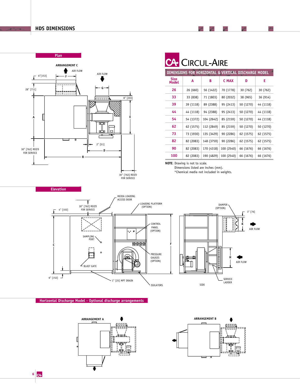# **HDS DIMENSIONS**



| GEMENT C |                                          |            | <b>CA</b> CIRCUL-AIRE       |           |                                                      |              |           |           |  |
|----------|------------------------------------------|------------|-----------------------------|-----------|------------------------------------------------------|--------------|-----------|-----------|--|
| AIR FLOW | AIR FLOW                                 |            |                             |           | DIMENSIONS FOR HORIZONTAL & VERTICAL DISCHARGE MODEL |              |           |           |  |
|          |                                          |            | <b>Size</b><br><b>Model</b> | A         | B                                                    | <b>C MAX</b> | D         | Ε         |  |
|          |                                          |            | 26                          | 26 (660)  | 56 (1422)                                            | 70 (1778)    | 30 (762)  | 30 (762)  |  |
|          |                                          | $8"$ [203] | 33                          | 33 (838)  | 71 (1803)                                            | 80 (2032)    | 38 (965)  | 36 (914)  |  |
|          |                                          |            | 39                          | 39 (1118) | 89 (2388)                                            | 95 (2413)    | 50 (1270) | 44 (1118) |  |
|          | ∞≫                                       |            | 44                          | 44 (1118) | 94 (2388)                                            | 95 (2413)    | 50 (1270) | 44 (1118) |  |
|          |                                          |            | 54                          | 54 (1372) | 104 (2642)                                           | 85 (2159)    | 50 (1270) | 44 (1118) |  |
|          | ு"                                       |            | 62                          | 62 (1575) | 112 (2849)                                           | 85 (2159)    | 50 (1270) | 50 (1270) |  |
|          | ◘<br>╓╌╥                                 |            | 73                          | 73 (1930) | 135 (3429)                                           | 90 (2286)    | 62 (1575) | 62 (1575) |  |
|          | $\sim$ $\mu$ $\sim$ $\sim$ $\sim$ $\sim$ |            | 82                          | 82 (2083) | 148 (3759)                                           | 90 (2286)    | 62 (1575) | 62 (1575) |  |

∕

 $\rightarrow$ 

 $\overline{\phantom{a}}$ 

 $\rightarrow$ 

**90** 82 (2083) 170 (4318) 100 (2540) 66 (1676) 66 (1676) **100** 82 (2083) 190 (4829) 100 (2540) 66 (1676) 66 (1676)

**NOTE**: Drawing is not to scale.

Dimensions listed are inches (mm).

\*Chemical media not included in weights.



#### **Horizontal Discharge Model - Optional discharge arrangements**





**6**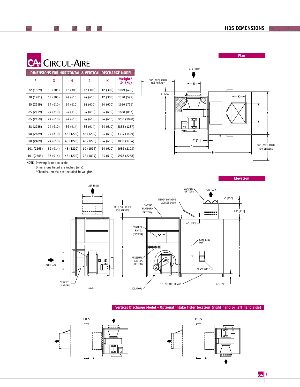**Plan**

| <b>CA-</b> CIRCUL-AIR |  |
|-----------------------|--|
|                       |  |

৴

# Ė **DIMENSIONS FOR HORIZONTAL & VERTICAL DISCHARGE MODEL**

ℐ

 $\overline{\phantom{a}}$  $\mathbb{Z}$ 

| DIMENSIONS FOR HORIZONIAL & VERTICAL DISCHARGE MODEL |          |           |           |          |                     |  |  |  |  |
|------------------------------------------------------|----------|-----------|-----------|----------|---------------------|--|--|--|--|
| F                                                    | G        | н         | J         | K        | Weight*<br>lb. (kg) |  |  |  |  |
| 72 (1829)                                            | 12 (305) | 12 (305)  | 12 (305)  | 12 (305) | 1079 (490)          |  |  |  |  |
| 78 (1981)                                            | 12 (305) | 24 (610)  | 24 (610)  | 12 (305) | 1320 (599)          |  |  |  |  |
| 85 (2159)                                            | 24 (610) | 24 (610)  | 24 (610)  | 24 (610) | 1686 (765)          |  |  |  |  |
| 85 (2159)                                            | 24 (610) | 24 (610)  | 24 (610)  | 24 (610) | 1888 (857)          |  |  |  |  |
| 85 (2159)                                            | 24 (610) | 24 (610)  | 24 (610)  | 24 (610) | 2250 (1020)         |  |  |  |  |
| 88 (2235)                                            | 24 (610) | 36 (914)  | 36 (914)  | 24 (610) | 2838 (1287)         |  |  |  |  |
| 98 (2489)                                            | 24 (610) | 48 (1220) | 48 (1220) | 24 (610) | 3304 (1499)         |  |  |  |  |
| 98 (2489)                                            | 24 (610) | 48 (1220) | 48 (1220) | 24 (610) | 3800 (1724)         |  |  |  |  |
| 101 (2565)                                           | 36 (914) | 48 (1220) | 60 (1524) | 24 (610) | 4636 (2103)         |  |  |  |  |
| 101 (2565)                                           | 36 (914) | 48 (1220) | 72 (1829) | 24 (610) | 4978 (2258)         |  |  |  |  |



**NOTE**: Drawing is not to scale.

Dimensions listed are inches (mm).

\*Chemical media not included in weights.



#### **Vertical Discharge Model - Optional intake filter location (right hand or left hand side)**



**Elevation**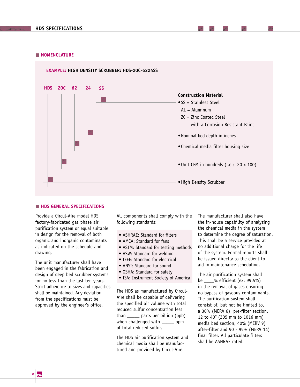#### **NOMENCLATURE**

#### **EXAMPLE: HIGH DENSITY SCRUBBER: HDS-20C-6224SS**



#### **HDS GENERAL SPECIFICATIONS**

Provide a Circul-Aire model HDS factory-fabricated gas phase air purification system or equal suitable in design for the removal of both organic and inorganic contaminants as indicated on the schedule and drawing.

The unit manufacturer shall have been engaged in the fabrication and design of deep bed scrubber systems for no less than the last ten years. Strict adherence to sizes and capacities shall be maintained. Any deviation from the specifications must be approved by the engineer's office.

All components shall comply with the following standards:

- ASHRAE: Standard for filters
- AMCA: Standard for fans
- ASTM: Standard for testing methods
- ASW: Standard for welding
- IEEE: Standard for electrical
- ANSI: Standard for sound
- OSHA: Standard for safety
- ISA: Instrument Society of America

The HDS as manufactured by Circul-Aire shall be capable of delivering the specified air volume with total reduced sulfur concentration less than \_\_\_\_\_ parts per billion (ppb) when challenged with \_\_\_\_\_ ppm of total reduced sulfur.

The HDS air purification system and chemical media shall be manufactured and provided by Circul-Aire.

The manufacturer shall also have the in-house capability of analyzing the chemical media in the system to determine the degree of saturation. This shall be a service provided at no additional charge for the life of the system. Formal reports shall be issued directly to the client to aid in maintenance scheduling.

The air purification system shall be \_\_\_\_% efficient (ex: 99.5%) in the removal of gases ensuring no bypass of gaseous contaminants. The purification system shall consist of, but not be limited to, a 30% (MERV 6) pre-filter section, 12 to 40'' (305 mm to 1016 mm) media bed section, 40% (MERV 9) after-filter and 90 - 99% (MERV 14) final filter. All particulate filters shall be ASHRAE rated.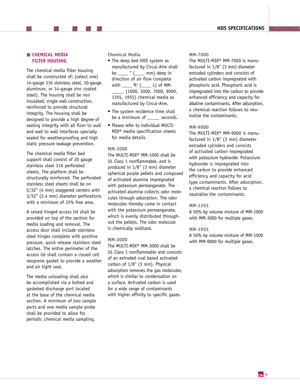# **CHEMICAL MEDIA FILTER HOUSING**

The chemical media filter housing shall be constructed of: (select one) 14-gauge 316 stainless steel, 10-gauge aluminum, or 14-gauge zinc coated steel). The housing shall be non insulated, single wall construction, reinforced to provide structural integrity. The housing shall be designed to provide a high degree of sealing integrity with all floor to wall and wall to wall interfaces specially sealed for weatherproofing and high static pressure leakage prevention.

The chemical media filter bed support shall consist of 20 gauge stainless steel 316 perforated sheets. The platform shall be structurally reinforced. The perforated stainless steel sheets shall be on 5/32" (4 mm) staggered centers with 3/32" (2.4 mm) diameter perforations with a minimum of 33% free area.

A raised hinged access lid shall be provided on top of the section for media loading and removal. The access door shall include stainless steel hinges complete with positive pressure, quick release stainless steel latches. The entire perimeter of the access lid shall contain a closed cell neoprene gasket to provide a weather and air tight seal.

The media unloading shall also be accomplished via a bolted and gasketed discharge port located at the base of the chemical media section. A minimum of two sample ports and one media sample probe shall be provided to allow for periodic chemical media sampling.

**Chemical Media**

- The deep bed HDS system as manufactured by Circul-Aire shall be \_\_\_\_ " (\_\_\_\_ mm) deep in direction of air flow complete with  $\rule{1em}{0.15mm}$  ft<sup>3</sup> ( $\rule{1em}{0.15mm}$  ( $\rule{1em}{0.15mm}$  L) of MM-\_\_\_\_\_ (1000, 3000, 7000, 9000, 1355, 1955) chemical media as manufactured by Circul-Aire.
- The system residence time shall be a minimum of seconds.
- Please refer to individual MULTI-MIX® media specification sheets for media details.

#### **MM-1000**

The MULTI-MIX® MM-1000 shall be UL Class 1 nonflammable, and is produced in 1/8" (3 mm) diameter spherical purple pellets and composed of activated alumina impregnated with potassium permanganate. The activated alumina collects odor molecules through adsorption. The odor molecules thereby come in contact with the potassium permanganate, which is evenly distributed throughout the pellets. The odor molecule is chemically oxidized.

#### **MM-3000**

The MULTI-MIX® MM-3000 shall be UL Class 1 nonflammable and consists of an extruded coal based activated carbon of 1/8" (3 mm). Physical adsorption removes the gas molecules, which is similar to condensation on a surface. Activated carbon is used for a wide range of contaminants with higher affinity to specific gases.

#### **MM-7000**

The MULTI-MIX® MM-7000 is manufactured in 1/8" (3 mm) diameter extruded cylinders and consists of activated carbon impregnated with phosphoric acid. Phosphoric acid is impregnated into the carbon to provide enhanced efficiency and capacity for alkaline contaminants. After adsorption, a chemical reaction follows to neutralize the contaminants.

#### **MM-9000**

The MULTI-MIX® MM-9000 is manufactured in 1/8" (3 mm) diameter extruded cylinders and consists of activated carbon impregnated with potassium hydroxide. Potassium hydroxide is impregnated into the carbon to provide enhanced efficiency and capacity for acid type contaminants. After adsorption, a chemical reaction follows to neutralize the contaminants.

#### **MM-1355**

A 50% by volume mixture of MM-1000 with MM-3000 for multiple gases.

#### **MM-1955**

A 50% by volume mixture of MM-1000 with MM-9000 for multiple gases.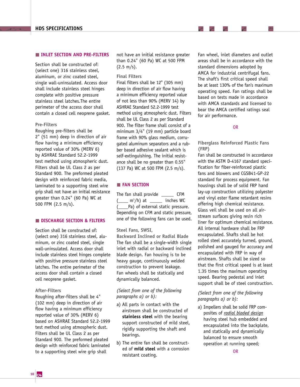#### **INLET SECTION AND PRE-FILTERS**

Section shall be constructed of: (select one) 316 stainless steel, aluminum, or zinc coated steel, single wall-uninsulated. Access door shall include stainless steel hinges complete with positive pressure stainless steel latches.The entire perimeter of the access door shall contain a closed cell neoprene gasket.

#### **Pre-Filters**

Roughing pre-filters shall be 2" (51 mm) deep in direction of air flow having a minimum efficiency reported value of 30% (MERV 6) by ASHRAE Standard 52.2-1999 test method using atmospheric dust. Filters shall be UL Class 2 as per Standard 900. The preformed pleated design with reinforced fabric media, laminated to a supporting steel wire grip shall not have an initial resistance greater than 0.24" (60 Pa) WC at 500 FPM (2.5 m/s).

## **DISCHARGE SECTION & FILTERS**

Section shall be constructed of: (select one) 316 stainless steel, aluminum, or zinc coated steel, single wall-uninsulated. Access door shall include stainless steel hinges complete with positive pressure stainless steel latches. The entire perimeter of the access door shall contain a closed cell neoprene gasket.

#### **After-Filters**

Roughing after-filters shall be 4" (102 mm) deep in direction of air flow having a minimum efficiency reported value of 30% (MERV 6) based on ASHRAE Standard 52.2-1999 test method using atmospheric dust. Filters shall be UL Class 2 as per Standard 900. The preformed pleated design with reinforced fabric laminated to a supporting steel wire grip shall

not have an initial resistance greater than 0.24" (60 Pa) WC at 500 FPM (2.5 m/s).

#### **Final Filters**

Final filters shall be 12'' (305 mm) deep in direction of air flow having a minimum efficiency reported value of not less than 90% (MERV 14) by ASHRAE Standard 52.2-1999 test method using atmospheric dust. Filters shall be UL Class 2 as per Standard 900. The filter frame shall consist of a minimum 3/4" (19 mm) particle board frame with 90% glass medium, corrugated aluminum separators and a rubber based adhesive sealant which is self-extinguishing. The initial resistance shall be no greater than 0.55" (137 Pa) WC at 500 FPM (2.5 m/s).

#### **FAN SECTION**

The fan shall provide **CFM**  $($ <sub>11</sub> m<sup>3</sup>/h) at  $_1$ <sub>11</sub> inches WC [Pa) of external static pressure. Depending on CFM and static pressure, one of the following fans can be used.

#### **Steel Fans, SWSI,**

**Backward Inclined or Radial Blade** The fan shall be a single-width single inlet with radial or backward inclined blade design. Fan housing is to be heavy gauge, continuously welded construction to prevent leakage. Fan wheels shall be statically and dynamically balanced.

# *(Select from one of the following paragraphs a) or b):*

- a) All parts in contact with the airstream shall be constructed of **stainless steel** with the bearing support constructed of mild steel, rigidly supporting the shaft and bearings.
- b) The entire fan shall be constructed of **mild steel** with a corrosion resistant coating.

Fan wheel, inlet diameters and outlet areas shall be in accordance with the standard dimensions adopted by AMCA for industrial centrifugal fans. The shaft's first critical speed shall be at least 130% of the fan's maximum operating speed. Fan ratings shall be based on tests made in accordance with AMCA standards and licensed to bear the AMCA certified ratings seal for air performance.

T

 $\overline{\phantom{a}}$ 

≻

#### OR

# **Fiberglass Reinforced Plastic Fans (FRP)**

Fan shall be constructed in accordance with the ASTM D-4167 standard specification for fiber-reinforced plastic fans and blowers and CGSB41-GP-22 standard for process equipment. Fan housings shall be of solid FRP hand lay-up construction utilizing polyester and vinyl ester flame retardant resins offering high chemical resistance. Glass veil shall be used on all airstream surfaces giving resin rich liner for optimum chemical resistance. All internal hardware shall be FRP encapsulated. Shafts shall be hot rolled steel accurately turned, ground, polished and gauged for accuracy and encapsulated with FRP in way of airstream. Shafts shall be sized so that the first critical speed is at least 1.35 times the maximum operating speed. Bearing pedestal and inlet support shall be of steel construction.

# *(Select from one of the following paragraphs a) or b):*

a) Impellers shall be solid FRP composites of *radial bladed design* having steel hub embedded and encapsulated into the backplate, and statically and dynamically balanced to ensure smooth operation at running speed;

OR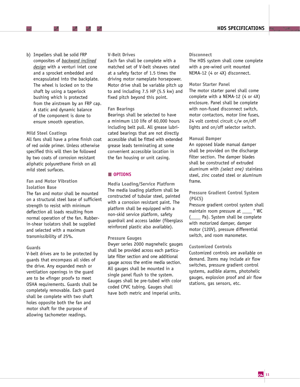b) Impellers shall be solid FRP composites of *backward inclined design* with a venturi inlet cone and a sprocket embedded and encapsulated into the backplate. The wheel is locked on to the shaft by using a taperlock bushing which is protected from the airstream by an FRP cap. A static and dynamic balance of the component is done to ensure smooth operation.

#### **Mild Steel Coatings**

All fans shall have a prime finish coat of red oxide primer. Unless otherwise specified this will then be followed by two coats of corrosion resistant aliphatic polyurethane finish on all mild steel surfaces.

# **Fan and Motor Vibration Isolation Base**

The fan and motor shall be mounted on a structural steel base of sufficient strength to resist with minimum deflection all loads resulting from normal operation of the fan. Rubberin-shear isolators shall be supplied and selected with a maximum transmissibility of 25%.

#### **Guards**

V-belt drives are to be protected by guards that encompass all sides of the drive. Any expanded mesh or ventilation openings in the guard are to be «finger proof» to meet OSHA requirements. Guards shall be completely removable. Each guard shall be complete with two shaft holes opposite both the fan and motor shaft for the purpose of allowing tachometer readings.

# **V-Belt Drives**

Each fan shall be complete with a matched set of V-belt sheaves rated at a safety factor of 1.5 times the driving motor nameplate horsepower. Motor drive shall be variable pitch up to and including 7.5 HP (5.5 kw) and fixed pitch beyond this point.

## **Fan Bearings**

Bearings shall be selected to have a minimum L10 life of 60,000 hours including belt pull. All grease lubricated bearings that are not directly accessible shall be fitted with extended grease leads terminating at some convenient accessible location in the fan housing or unit casing.

# **OPTIONS**

**Media Loading/Service Platform** The media loading platform shall be constructed of tubular steel, painted with a corrosion resistant paint. The platform shall be equipped with a non-skid service platform, safety guardrail and access ladder (fiberglass reinforced plastic also available).

#### **Pressure Gauges**

Dwyer series 2000 magnehelic gauges shall be provided across each particulate filter section and one additional gauge across the entire media section. All gauges shall be mounted in a single panel flush to the system. Gauges shall be pre-tubed with color coded CPVC tubing. Gauges shall have both metric and imperial units.

#### **Disconnect**

The HDS system shall come complete with a pre-wired unit mounted NEMA-12 (4 or 4X) disconnect.

## **Motor Starter Panel**

The motor starter panel shall come complete with a NEMA-12 (4 or 4X) enclosure. Panel shall be complete with non-fused disconnect switch, motor contactors, motor line fuses, 24 volt control circuit c/w on/off lights and on/off selector switch.

#### **Manual Damper**

An opposed blade manual damper shall be provided on the discharge filter section. The damper blades shall be constructed of extruded aluminum with *(select one)* stainless steel, zinc coated steel or aluminum frame.

## **Pressure Gradient Control System (PGCS)**

Pressure gradient control system shall maintain room pressure at \_\_\_\_ '' WC (\_\_\_\_ Pa). System shall be complete with motorized damper, damper motor (120V), pressure differential switch, and room manometer.

## **Customized Controls**

Customized controls are available on demand. Items may include air flow switches, pressure gradient control systems, audible alarms, photohelic gauges, explosion proof and air flow stations, gas sensors, etc.